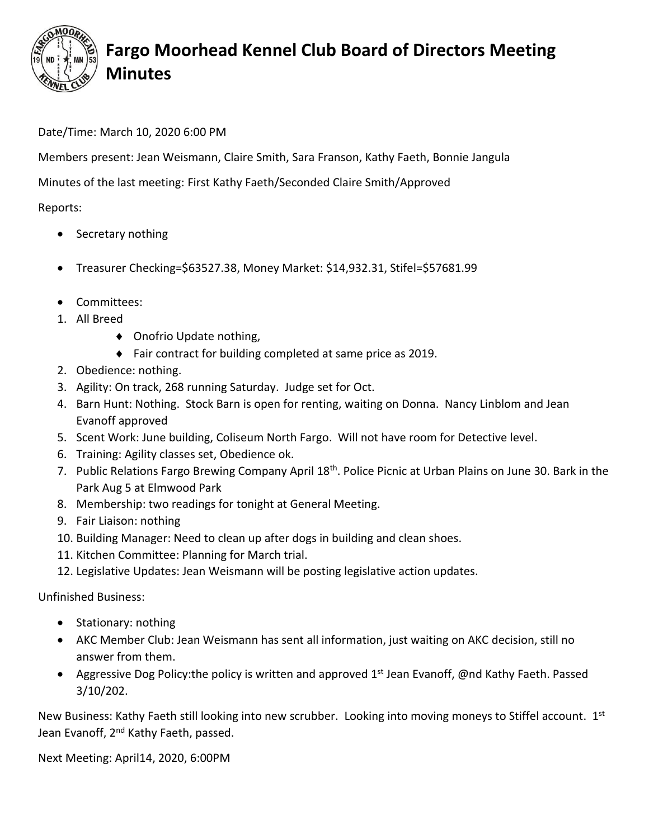

## **Fargo Moorhead Kennel Club Board of Directors Meeting Minutes**

## Date/Time: March 10, 2020 6:00 PM

Members present: Jean Weismann, Claire Smith, Sara Franson, Kathy Faeth, Bonnie Jangula

Minutes of the last meeting: First Kathy Faeth/Seconded Claire Smith/Approved

Reports:

- Secretary nothing
- Treasurer Checking=\$63527.38, Money Market: \$14,932.31, Stifel=\$57681.99
- Committees:
- 1. All Breed
	- ◆ Onofrio Update nothing,
	- ◆ Fair contract for building completed at same price as 2019.
- 2. Obedience: nothing.
- 3. Agility: On track, 268 running Saturday. Judge set for Oct.
- 4. Barn Hunt: Nothing. Stock Barn is open for renting, waiting on Donna. Nancy Linblom and Jean Evanoff approved
- 5. Scent Work: June building, Coliseum North Fargo. Will not have room for Detective level.
- 6. Training: Agility classes set, Obedience ok.
- 7. Public Relations Fargo Brewing Company April 18<sup>th</sup>. Police Picnic at Urban Plains on June 30. Bark in the Park Aug 5 at Elmwood Park
- 8. Membership: two readings for tonight at General Meeting.
- 9. Fair Liaison: nothing
- 10. Building Manager: Need to clean up after dogs in building and clean shoes.
- 11. Kitchen Committee: Planning for March trial.
- 12. Legislative Updates: Jean Weismann will be posting legislative action updates.

Unfinished Business:

- Stationary: nothing
- AKC Member Club: Jean Weismann has sent all information, just waiting on AKC decision, still no answer from them.
- Aggressive Dog Policy:the policy is written and approved 1<sup>st</sup> Jean Evanoff, @nd Kathy Faeth. Passed 3/10/202.

New Business: Kathy Faeth still looking into new scrubber. Looking into moving moneys to Stiffel account. 1st Jean Evanoff, 2<sup>nd</sup> Kathy Faeth, passed.

Next Meeting: April14, 2020, 6:00PM